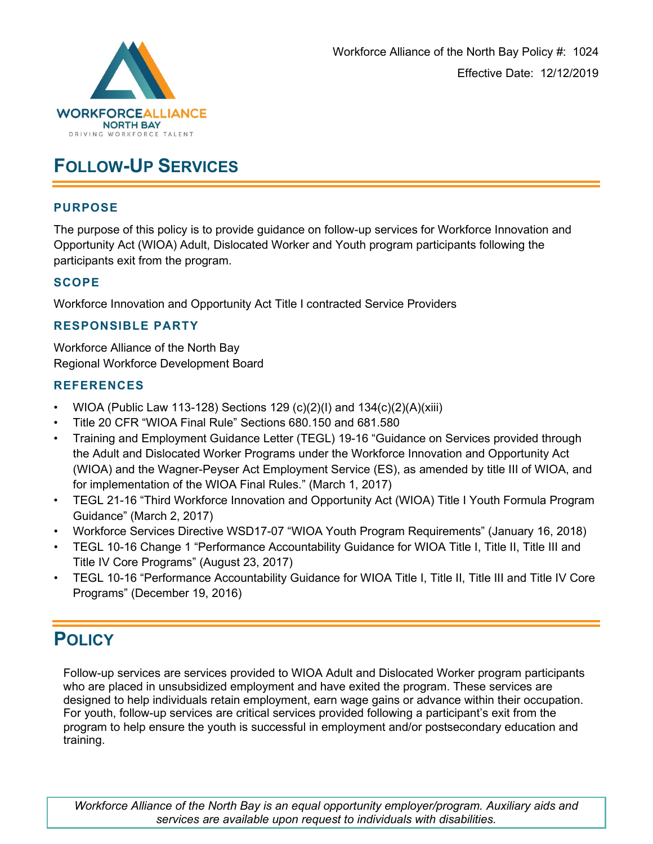

# **FOLLOW-UP SERVICES**

## **PURPOSE**

The purpose of this policy is to provide guidance on follow-up services for Workforce Innovation and Opportunity Act (WIOA) Adult, Dislocated Worker and Youth program participants following the participants exit from the program.

## **SCOPE**

Workforce Innovation and Opportunity Act Title I contracted Service Providers

### **RESPONSIBLE PARTY**

Workforce Alliance of the North Bay Regional Workforce Development Board

### **REFERENCES**

- WIOA (Public Law 113-128) Sections 129 (c)(2)(I) and 134(c)(2)(A)(xiii)
- Title 20 CFR "WIOA Final Rule" Sections 680.150 and 681.580
- Training and Employment Guidance Letter (TEGL) 19-16 "Guidance on Services provided through the Adult and Dislocated Worker Programs under the Workforce Innovation and Opportunity Act (WIOA) and the Wagner-Peyser Act Employment Service (ES), as amended by title III of WIOA, and for implementation of the WIOA Final Rules." (March 1, 2017)
- TEGL 21-16 "Third Workforce Innovation and Opportunity Act (WIOA) Title I Youth Formula Program Guidance" (March 2, 2017)
- Workforce Services Directive WSD17-07 "WIOA Youth Program Requirements" (January 16, 2018)
- TEGL 10-16 Change 1 "Performance Accountability Guidance for WIOA Title I, Title II, Title III and Title IV Core Programs" (August 23, 2017)
- TEGL 10-16 "Performance Accountability Guidance for WIOA Title I, Title II, Title III and Title IV Core Programs" (December 19, 2016)

# **POLICY**

Follow-up services are services provided to WIOA Adult and Dislocated Worker program participants who are placed in unsubsidized employment and have exited the program. These services are designed to help individuals retain employment, earn wage gains or advance within their occupation. For youth, follow-up services are critical services provided following a participant's exit from the program to help ensure the youth is successful in employment and/or postsecondary education and training.

*Workforce Alliance of the North Bay is an equal opportunity employer/program. Auxiliary aids and services are available upon request to individuals with disabilities.*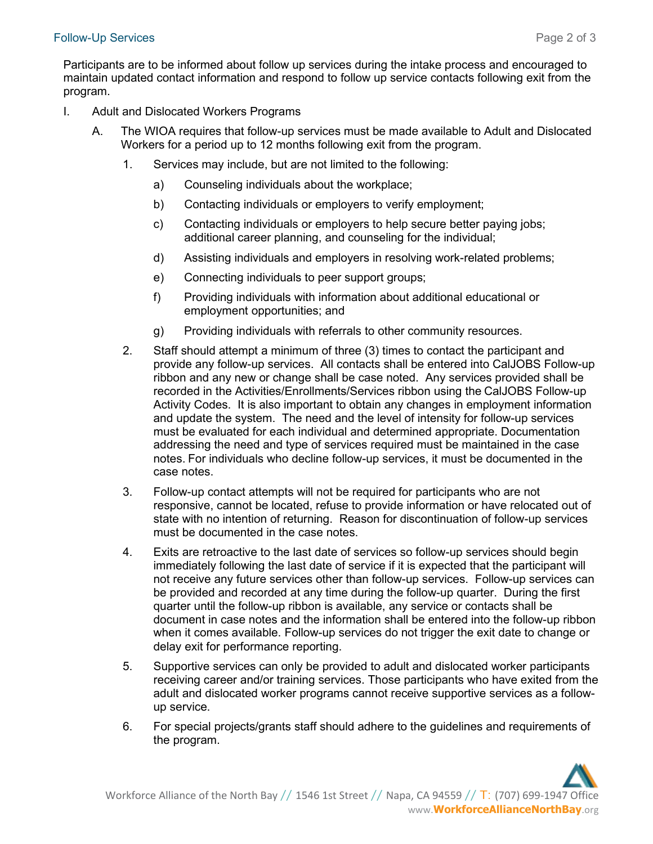### Follow-Up Services **Page 2 of 3**

Participants are to be informed about follow up services during the intake process and encouraged to maintain updated contact information and respond to follow up service contacts following exit from the program.

- I. Adult and Dislocated Workers Programs
	- A. The WIOA requires that follow-up services must be made available to Adult and Dislocated Workers for a period up to 12 months following exit from the program.
		- 1. Services may include, but are not limited to the following:
			- a) Counseling individuals about the workplace;
			- b) Contacting individuals or employers to verify employment;
			- c) Contacting individuals or employers to help secure better paying jobs; additional career planning, and counseling for the individual;
			- d) Assisting individuals and employers in resolving work-related problems;
			- e) Connecting individuals to peer support groups;
			- f) Providing individuals with information about additional educational or employment opportunities; and
			- g) Providing individuals with referrals to other community resources.
		- 2. Staff should attempt a minimum of three (3) times to contact the participant and provide any follow-up services. All contacts shall be entered into CalJOBS Follow-up ribbon and any new or change shall be case noted. Any services provided shall be recorded in the Activities/Enrollments/Services ribbon using the CalJOBS Follow-up Activity Codes. It is also important to obtain any changes in employment information and update the system. The need and the level of intensity for follow-up services must be evaluated for each individual and determined appropriate. Documentation addressing the need and type of services required must be maintained in the case notes. For individuals who decline follow-up services, it must be documented in the case notes.
		- 3. Follow-up contact attempts will not be required for participants who are not responsive, cannot be located, refuse to provide information or have relocated out of state with no intention of returning. Reason for discontinuation of follow-up services must be documented in the case notes.
		- 4. Exits are retroactive to the last date of services so follow-up services should begin immediately following the last date of service if it is expected that the participant will not receive any future services other than follow-up services. Follow-up services can be provided and recorded at any time during the follow-up quarter. During the first quarter until the follow-up ribbon is available, any service or contacts shall be document in case notes and the information shall be entered into the follow-up ribbon when it comes available. Follow-up services do not trigger the exit date to change or delay exit for performance reporting.
		- 5. Supportive services can only be provided to adult and dislocated worker participants receiving career and/or training services. Those participants who have exited from the adult and dislocated worker programs cannot receive supportive services as a followup service.
		- 6. For special projects/grants staff should adhere to the guidelines and requirements of the program.